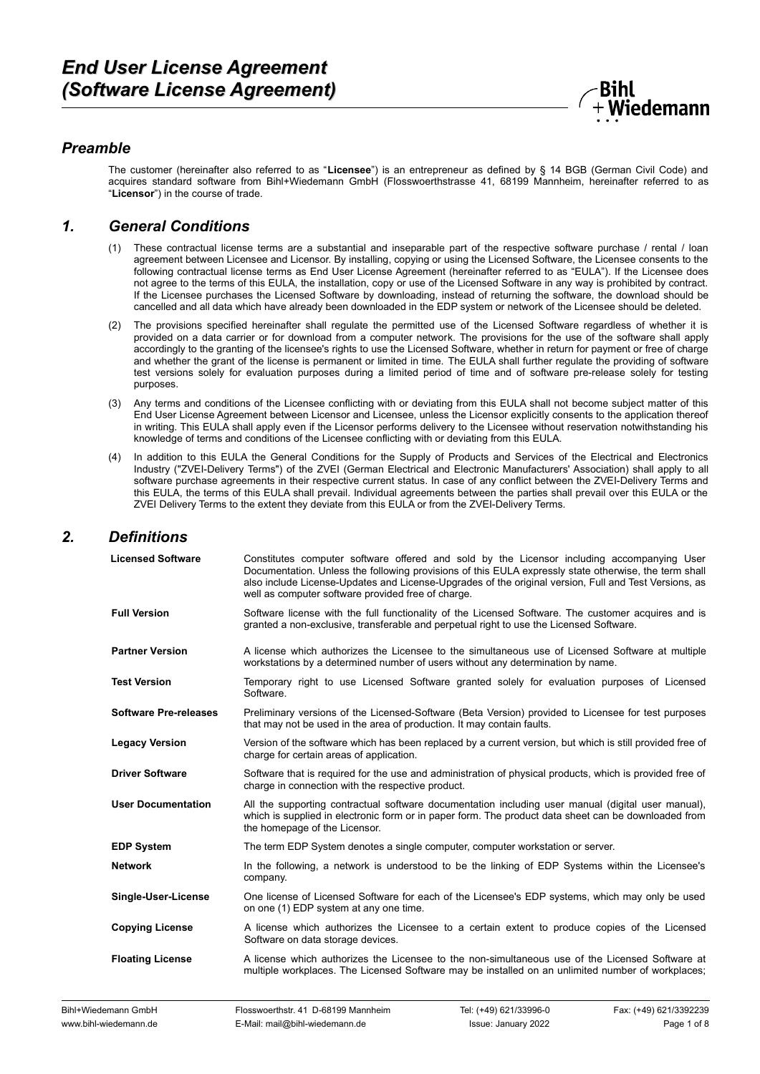

## *Preamble*

The customer (hereinafter also referred to as "**Licensee**") is an entrepreneur as defined by § 14 BGB (German Civil Code) and acquires standard software from Bihl+Wiedemann GmbH (Flosswoerthstrasse 41, 68199 Mannheim, hereinafter referred to as "**Licensor**") in the course of trade.

#### *1. General Conditions*

- (1) These contractual license terms are a substantial and inseparable part of the respective software purchase / rental / loan agreement between Licensee and Licensor. By installing, copying or using the Licensed Software, the Licensee consents to the following contractual license terms as End User License Agreement (hereinafter referred to as "EULA"). If the Licensee does not agree to the terms of this EULA, the installation, copy or use of the Licensed Software in any way is prohibited by contract. If the Licensee purchases the Licensed Software by downloading, instead of returning the software, the download should be cancelled and all data which have already been downloaded in the EDP system or network of the Licensee should be deleted.
- (2) The provisions specified hereinafter shall regulate the permitted use of the Licensed Software regardless of whether it is provided on a data carrier or for download from a computer network. The provisions for the use of the software shall apply accordingly to the granting of the licensee's rights to use the Licensed Software, whether in return for payment or free of charge and whether the grant of the license is permanent or limited in time. The EULA shall further regulate the providing of software test versions solely for evaluation purposes during a limited period of time and of software pre-release solely for testing purposes.
- (3) Any terms and conditions of the Licensee conflicting with or deviating from this EULA shall not become subject matter of this End User License Agreement between Licensor and Licensee, unless the Licensor explicitly consents to the application thereof in writing. This EULA shall apply even if the Licensor performs delivery to the Licensee without reservation notwithstanding his knowledge of terms and conditions of the Licensee conflicting with or deviating from this EULA.
- (4) In addition to this EULA the General Conditions for the Supply of Products and Services of the Electrical and Electronics Industry ("ZVEI-Delivery Terms") of the ZVEI (German Electrical and Electronic Manufacturers' Association) shall apply to all software purchase agreements in their respective current status. In case of any conflict between the ZVEI-Delivery Terms and this EULA, the terms of this EULA shall prevail. Individual agreements between the parties shall prevail over this EULA or the ZVEI Delivery Terms to the extent they deviate from this EULA or from the ZVEI-Delivery Terms.

### *2. Definitions*

| <b>Licensed Software</b>     | Constitutes computer software offered and sold by the Licensor including accompanying User<br>Documentation. Unless the following provisions of this EULA expressly state otherwise, the term shall<br>also include License-Updates and License-Upgrades of the original version, Full and Test Versions, as<br>well as computer software provided free of charge. |
|------------------------------|--------------------------------------------------------------------------------------------------------------------------------------------------------------------------------------------------------------------------------------------------------------------------------------------------------------------------------------------------------------------|
| <b>Full Version</b>          | Software license with the full functionality of the Licensed Software. The customer acquires and is<br>granted a non-exclusive, transferable and perpetual right to use the Licensed Software.                                                                                                                                                                     |
| <b>Partner Version</b>       | A license which authorizes the Licensee to the simultaneous use of Licensed Software at multiple<br>workstations by a determined number of users without any determination by name.                                                                                                                                                                                |
| <b>Test Version</b>          | Temporary right to use Licensed Software granted solely for evaluation purposes of Licensed<br>Software.                                                                                                                                                                                                                                                           |
| <b>Software Pre-releases</b> | Preliminary versions of the Licensed-Software (Beta Version) provided to Licensee for test purposes<br>that may not be used in the area of production. It may contain faults.                                                                                                                                                                                      |
| <b>Legacy Version</b>        | Version of the software which has been replaced by a current version, but which is still provided free of<br>charge for certain areas of application.                                                                                                                                                                                                              |
| <b>Driver Software</b>       | Software that is required for the use and administration of physical products, which is provided free of<br>charge in connection with the respective product.                                                                                                                                                                                                      |
| <b>User Documentation</b>    | All the supporting contractual software documentation including user manual (digital user manual),<br>which is supplied in electronic form or in paper form. The product data sheet can be downloaded from<br>the homepage of the Licensor.                                                                                                                        |
| <b>EDP System</b>            | The term EDP System denotes a single computer, computer workstation or server.                                                                                                                                                                                                                                                                                     |
| <b>Network</b>               | In the following, a network is understood to be the linking of EDP Systems within the Licensee's<br>company.                                                                                                                                                                                                                                                       |
| Single-User-License          | One license of Licensed Software for each of the Licensee's EDP systems, which may only be used<br>on one (1) EDP system at any one time.                                                                                                                                                                                                                          |
| <b>Copying License</b>       | A license which authorizes the Licensee to a certain extent to produce copies of the Licensed<br>Software on data storage devices.                                                                                                                                                                                                                                 |
| <b>Floating License</b>      | A license which authorizes the Licensee to the non-simultaneous use of the Licensed Software at<br>multiple workplaces. The Licensed Software may be installed on an unlimited number of workplaces;                                                                                                                                                               |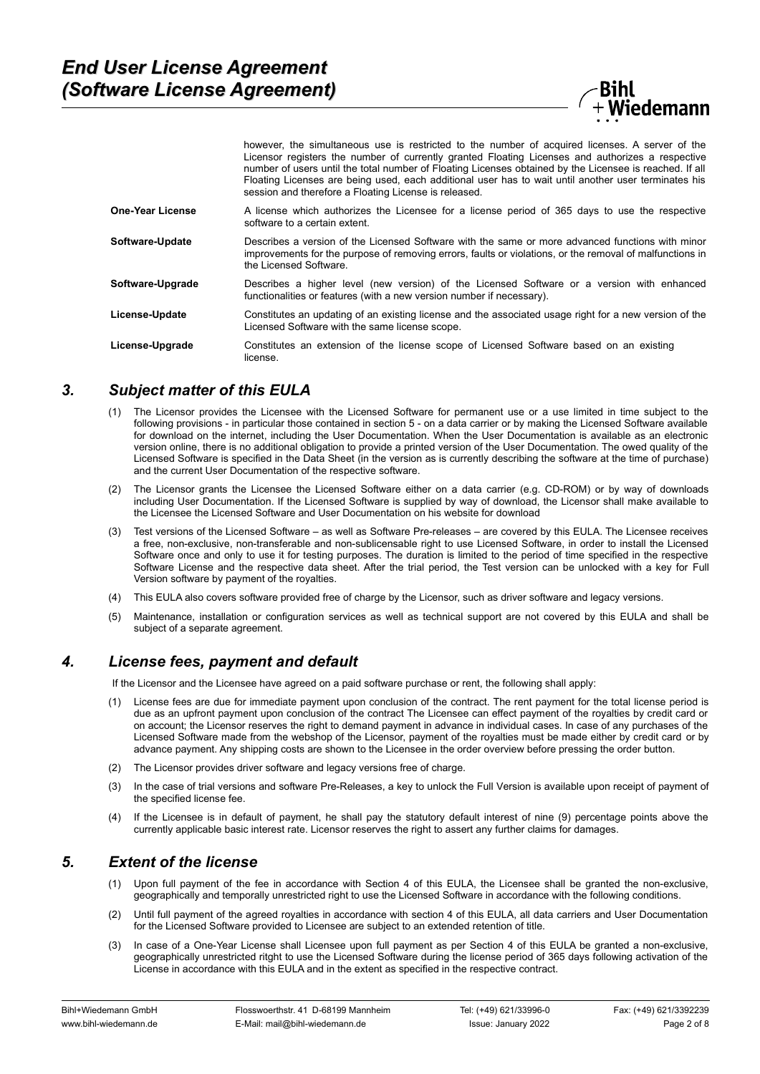

|                  | however, the simultaneous use is restricted to the number of acquired licenses. A server of the<br>Licensor registers the number of currently granted Floating Licenses and authorizes a respective<br>number of users until the total number of Floating Licenses obtained by the Licensee is reached. If all<br>Floating Licenses are being used, each additional user has to wait until another user terminates his<br>session and therefore a Floating License is released. |
|------------------|---------------------------------------------------------------------------------------------------------------------------------------------------------------------------------------------------------------------------------------------------------------------------------------------------------------------------------------------------------------------------------------------------------------------------------------------------------------------------------|
| One-Year License | A license which authorizes the Licensee for a license period of 365 days to use the respective<br>software to a certain extent.                                                                                                                                                                                                                                                                                                                                                 |
| Software-Update  | Describes a version of the Licensed Software with the same or more advanced functions with minor<br>improvements for the purpose of removing errors, faults or violations, or the removal of malfunctions in<br>the Licensed Software.                                                                                                                                                                                                                                          |
| Software-Upgrade | Describes a higher level (new version) of the Licensed Software or a version with enhanced<br>functionalities or features (with a new version number if necessary).                                                                                                                                                                                                                                                                                                             |
| License-Update   | Constitutes an updating of an existing license and the associated usage right for a new version of the<br>Licensed Software with the same license scope.                                                                                                                                                                                                                                                                                                                        |
| License-Upgrade  | Constitutes an extension of the license scope of Licensed Software based on an existing<br>license                                                                                                                                                                                                                                                                                                                                                                              |

#### *3. Subject matter of this EULA*

- (1) The Licensor provides the Licensee with the Licensed Software for permanent use or a use limited in time subject to the following provisions - in particular those contained in section 5 - on a data carrier or by making the Licensed Software available for download on the internet, including the User Documentation. When the User Documentation is available as an electronic version online, there is no additional obligation to provide a printed version of the User Documentation. The owed quality of the Licensed Software is specified in the Data Sheet (in the version as is currently describing the software at the time of purchase) and the current User Documentation of the respective software.
- The Licensor grants the Licensee the Licensed Software either on a data carrier (e.g. CD-ROM) or by way of downloads including User Documentation. If the Licensed Software is supplied by way of download, the Licensor shall make available to the Licensee the Licensed Software and User Documentation on his website for download
- (3) Test versions of the Licensed Software as well as Software Pre-releases are covered by this EULA. The Licensee receives a free, non-exclusive, non-transferable and non-sublicensable right to use Licensed Software, in order to install the Licensed Software once and only to use it for testing purposes. The duration is limited to the period of time specified in the respective Software License and the respective data sheet. After the trial period, the Test version can be unlocked with a key for Full Version software by payment of the royalties.
- (4) This EULA also covers software provided free of charge by the Licensor, such as driver software and legacy versions.
- (5) Maintenance, installation or configuration services as well as technical support are not covered by this EULA and shall be subject of a separate agreement.

# *4. License fees, payment and default*

If the Licensor and the Licensee have agreed on a paid software purchase or rent, the following shall apply:

- (1) License fees are due for immediate payment upon conclusion of the contract. The rent payment for the total license period is due as an upfront payment upon conclusion of the contract The Licensee can effect payment of the royalties by credit card or on account; the Licensor reserves the right to demand payment in advance in individual cases. In case of any purchases of the Licensed Software made from the webshop of the Licensor, payment of the royalties must be made either by credit card or by advance payment. Any shipping costs are shown to the Licensee in the order overview before pressing the order button.
- (2) The Licensor provides driver software and legacy versions free of charge.
- (3) In the case of trial versions and software Pre-Releases, a key to unlock the Full Version is available upon receipt of payment of the specified license fee.
- (4) If the Licensee is in default of payment, he shall pay the statutory default interest of nine (9) percentage points above the currently applicable basic interest rate. Licensor reserves the right to assert any further claims for damages.

#### *5. Extent of the license*

- (1) Upon full payment of the fee in accordance with Section 4 of this EULA, the Licensee shall be granted the non-exclusive, geographically and temporally unrestricted right to use the Licensed Software in accordance with the following conditions.
- (2) Until full payment of the agreed royalties in accordance with section 4 of this EULA, all data carriers and User Documentation for the Licensed Software provided to Licensee are subject to an extended retention of title.
- (3) In case of a One-Year License shall Licensee upon full payment as per Section 4 of this EULA be granted a non-exclusive, geographically unrestricted ritght to use the Licensed Software during the license period of 365 days following activation of the License in accordance with this EULA and in the extent as specified in the respective contract.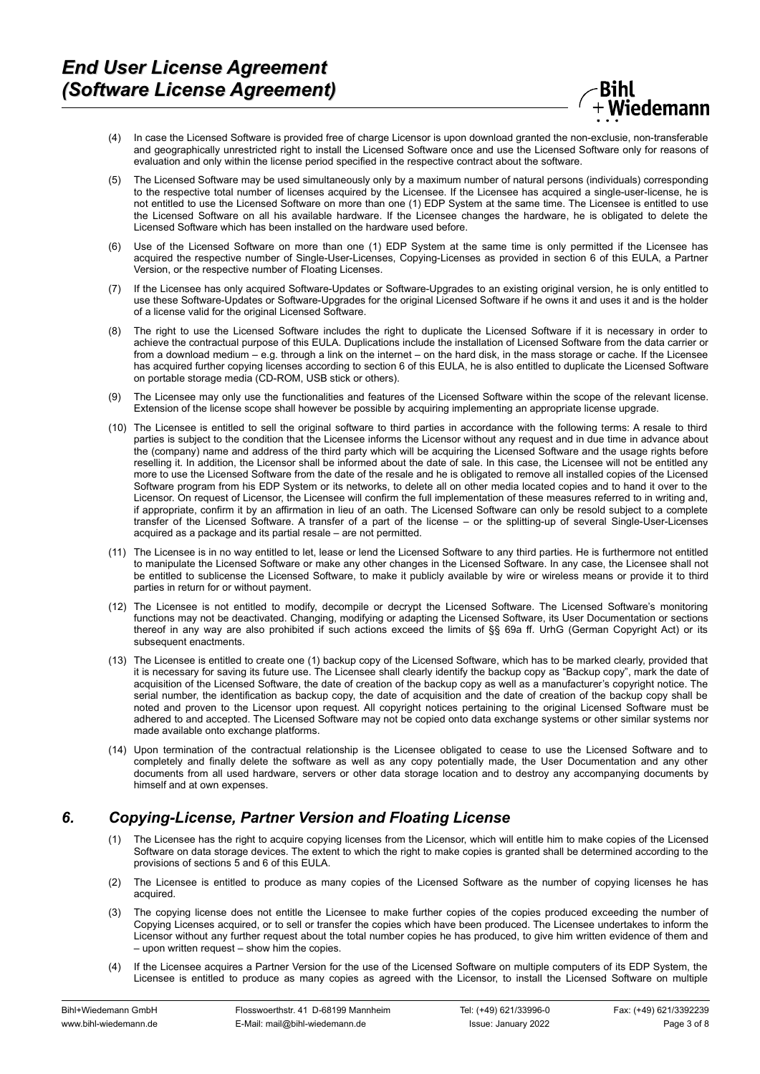

- (4) In case the Licensed Software is provided free of charge Licensor is upon download granted the non-exclusie, non-transferable and geographically unrestricted right to install the Licensed Software once and use the Licensed Software only for reasons of evaluation and only within the license period specified in the respective contract about the software.
- (5) The Licensed Software may be used simultaneously only by a maximum number of natural persons (individuals) corresponding to the respective total number of licenses acquired by the Licensee. If the Licensee has acquired a single-user-license, he is not entitled to use the Licensed Software on more than one (1) EDP System at the same time. The Licensee is entitled to use the Licensed Software on all his available hardware. If the Licensee changes the hardware, he is obligated to delete the Licensed Software which has been installed on the hardware used before.
- (6) Use of the Licensed Software on more than one (1) EDP System at the same time is only permitted if the Licensee has acquired the respective number of Single-User-Licenses, Copying-Licenses as provided in section 6 of this EULA, a Partner Version, or the respective number of Floating Licenses.
- (7) If the Licensee has only acquired Software-Updates or Software-Upgrades to an existing original version, he is only entitled to use these Software-Updates or Software-Upgrades for the original Licensed Software if he owns it and uses it and is the holder of a license valid for the original Licensed Software.
- (8) The right to use the Licensed Software includes the right to duplicate the Licensed Software if it is necessary in order to achieve the contractual purpose of this EULA. Duplications include the installation of Licensed Software from the data carrier or from a download medium – e.g. through a link on the internet – on the hard disk, in the mass storage or cache. If the Licensee has acquired further copying licenses according to section 6 of this EULA, he is also entitled to duplicate the Licensed Software on portable storage media (CD-ROM, USB stick or others).
- (9) The Licensee may only use the functionalities and features of the Licensed Software within the scope of the relevant license. Extension of the license scope shall however be possible by acquiring implementing an appropriate license upgrade.
- (10) The Licensee is entitled to sell the original software to third parties in accordance with the following terms: A resale to third parties is subject to the condition that the Licensee informs the Licensor without any request and in due time in advance about the (company) name and address of the third party which will be acquiring the Licensed Software and the usage rights before reselling it. In addition, the Licensor shall be informed about the date of sale. In this case, the Licensee will not be entitled any more to use the Licensed Software from the date of the resale and he is obligated to remove all installed copies of the Licensed Software program from his EDP System or its networks, to delete all on other media located copies and to hand it over to the Licensor. On request of Licensor, the Licensee will confirm the full implementation of these measures referred to in writing and, if appropriate, confirm it by an affirmation in lieu of an oath. The Licensed Software can only be resold subject to a complete transfer of the Licensed Software. A transfer of a part of the license – or the splitting-up of several Single-User-Licenses acquired as a package and its partial resale – are not permitted.
- (11) The Licensee is in no way entitled to let, lease or lend the Licensed Software to any third parties. He is furthermore not entitled to manipulate the Licensed Software or make any other changes in the Licensed Software. In any case, the Licensee shall not be entitled to sublicense the Licensed Software, to make it publicly available by wire or wireless means or provide it to third parties in return for or without payment.
- (12) The Licensee is not entitled to modify, decompile or decrypt the Licensed Software. The Licensed Software's monitoring functions may not be deactivated. Changing, modifying or adapting the Licensed Software, its User Documentation or sections thereof in any way are also prohibited if such actions exceed the limits of §§ 69a ff. UrhG (German Copyright Act) or its subsequent enactments.
- (13) The Licensee is entitled to create one (1) backup copy of the Licensed Software, which has to be marked clearly, provided that it is necessary for saving its future use. The Licensee shall clearly identify the backup copy as "Backup copy", mark the date of acquisition of the Licensed Software, the date of creation of the backup copy as well as a manufacturer's copyright notice. The serial number, the identification as backup copy, the date of acquisition and the date of creation of the backup copy shall be noted and proven to the Licensor upon request. All copyright notices pertaining to the original Licensed Software must be adhered to and accepted. The Licensed Software may not be copied onto data exchange systems or other similar systems nor made available onto exchange platforms.
- (14) Upon termination of the contractual relationship is the Licensee obligated to cease to use the Licensed Software and to completely and finally delete the software as well as any copy potentially made, the User Documentation and any other documents from all used hardware, servers or other data storage location and to destroy any accompanying documents by himself and at own expenses.

# *6. Copying-License, Partner Version and Floating License*

- The Licensee has the right to acquire copying licenses from the Licensor, which will entitle him to make copies of the Licensed Software on data storage devices. The extent to which the right to make copies is granted shall be determined according to the provisions of sections 5 and 6 of this EULA.
- (2) The Licensee is entitled to produce as many copies of the Licensed Software as the number of copying licenses he has acquired.
- (3) The copying license does not entitle the Licensee to make further copies of the copies produced exceeding the number of Copying Licenses acquired, or to sell or transfer the copies which have been produced. The Licensee undertakes to inform the Licensor without any further request about the total number copies he has produced, to give him written evidence of them and – upon written request – show him the copies.
- (4) If the Licensee acquires a Partner Version for the use of the Licensed Software on multiple computers of its EDP System, the Licensee is entitled to produce as many copies as agreed with the Licensor, to install the Licensed Software on multiple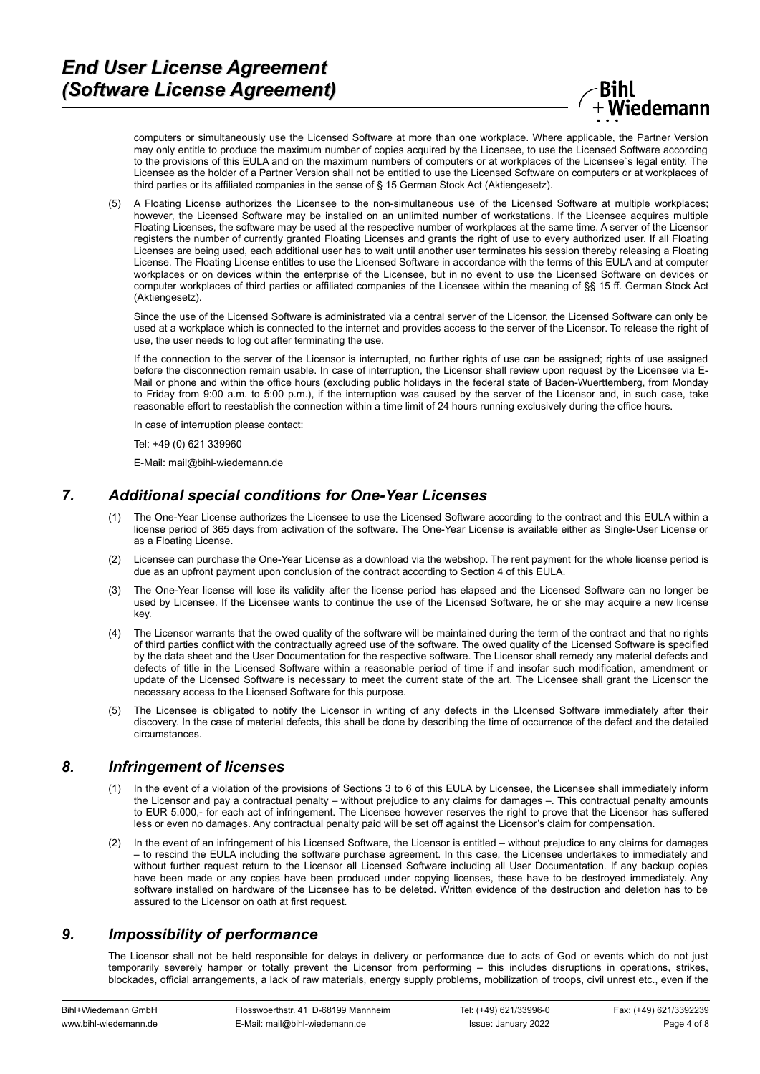

computers or simultaneously use the Licensed Software at more than one workplace. Where applicable, the Partner Version may only entitle to produce the maximum number of copies acquired by the Licensee, to use the Licensed Software according to the provisions of this EULA and on the maximum numbers of computers or at workplaces of the Licensee`s legal entity. The Licensee as the holder of a Partner Version shall not be entitled to use the Licensed Software on computers or at workplaces of third parties or its affiliated companies in the sense of § 15 German Stock Act (Aktiengesetz).

(5) A Floating License authorizes the Licensee to the non-simultaneous use of the Licensed Software at multiple workplaces; however, the Licensed Software may be installed on an unlimited number of workstations. If the Licensee acquires multiple Floating Licenses, the software may be used at the respective number of workplaces at the same time. A server of the Licensor registers the number of currently granted Floating Licenses and grants the right of use to every authorized user. If all Floating Licenses are being used, each additional user has to wait until another user terminates his session thereby releasing a Floating License. The Floating License entitles to use the Licensed Software in accordance with the terms of this EULA and at computer workplaces or on devices within the enterprise of the Licensee, but in no event to use the Licensed Software on devices or computer workplaces of third parties or affiliated companies of the Licensee within the meaning of §§ 15 ff. German Stock Act (Aktiengesetz).

Since the use of the Licensed Software is administrated via a central server of the Licensor, the Licensed Software can only be used at a workplace which is connected to the internet and provides access to the server of the Licensor. To release the right of use, the user needs to log out after terminating the use.

If the connection to the server of the Licensor is interrupted, no further rights of use can be assigned; rights of use assigned before the disconnection remain usable. In case of interruption, the Licensor shall review upon request by the Licensee via E-Mail or phone and within the office hours (excluding public holidays in the federal state of Baden-Wuerttemberg, from Monday to Friday from 9:00 a.m. to 5:00 p.m.), if the interruption was caused by the server of the Licensor and, in such case, take reasonable effort to reestablish the connection within a time limit of 24 hours running exclusively during the office hours.

In case of interruption please contact:

Tel: +49 (0) 621 339960

E-Mail: mail@bihl-wiedemann.de

### *7. Additional special conditions for One-Year Licenses*

- (1) The One-Year License authorizes the Licensee to use the Licensed Software according to the contract and this EULA within a license period of 365 days from activation of the software. The One-Year License is available either as Single-User License or as a Floating License.
- (2) Licensee can purchase the One-Year License as a download via the webshop. The rent payment for the whole license period is due as an upfront payment upon conclusion of the contract according to Section 4 of this EULA.
- (3) The One-Year license will lose its validity after the license period has elapsed and the Licensed Software can no longer be used by Licensee. If the Licensee wants to continue the use of the Licensed Software, he or she may acquire a new license key.
- (4) The Licensor warrants that the owed quality of the software will be maintained during the term of the contract and that no rights of third parties conflict with the contractually agreed use of the software. The owed quality of the Licensed Software is specified by the data sheet and the User Documentation for the respective software. The Licensor shall remedy any material defects and defects of title in the Licensed Software within a reasonable period of time if and insofar such modification, amendment or update of the Licensed Software is necessary to meet the current state of the art. The Licensee shall grant the Licensor the necessary access to the Licensed Software for this purpose.
- (5) The Licensee is obligated to notify the Licensor in writing of any defects in the LIcensed Software immediately after their discovery. In the case of material defects, this shall be done by describing the time of occurrence of the defect and the detailed circumstances.

#### *8. Infringement of licenses*

- (1) In the event of a violation of the provisions of Sections 3 to 6 of this EULA by Licensee, the Licensee shall immediately inform the Licensor and pay a contractual penalty – without prejudice to any claims for damages –. This contractual penalty amounts to EUR 5.000,- for each act of infringement. The Licensee however reserves the right to prove that the Licensor has suffered less or even no damages. Any contractual penalty paid will be set off against the Licensor's claim for compensation.
- (2) In the event of an infringement of his Licensed Software, the Licensor is entitled without prejudice to any claims for damages – to rescind the EULA including the software purchase agreement. In this case, the Licensee undertakes to immediately and without further request return to the Licensor all Licensed Software including all User Documentation. If any backup copies have been made or any copies have been produced under copying licenses, these have to be destroyed immediately. Any software installed on hardware of the Licensee has to be deleted. Written evidence of the destruction and deletion has to be assured to the Licensor on oath at first request.

#### *9. Impossibility of performance*

The Licensor shall not be held responsible for delays in delivery or performance due to acts of God or events which do not just temporarily severely hamper or totally prevent the Licensor from performing – this includes disruptions in operations, strikes, blockades, official arrangements, a lack of raw materials, energy supply problems, mobilization of troops, civil unrest etc., even if the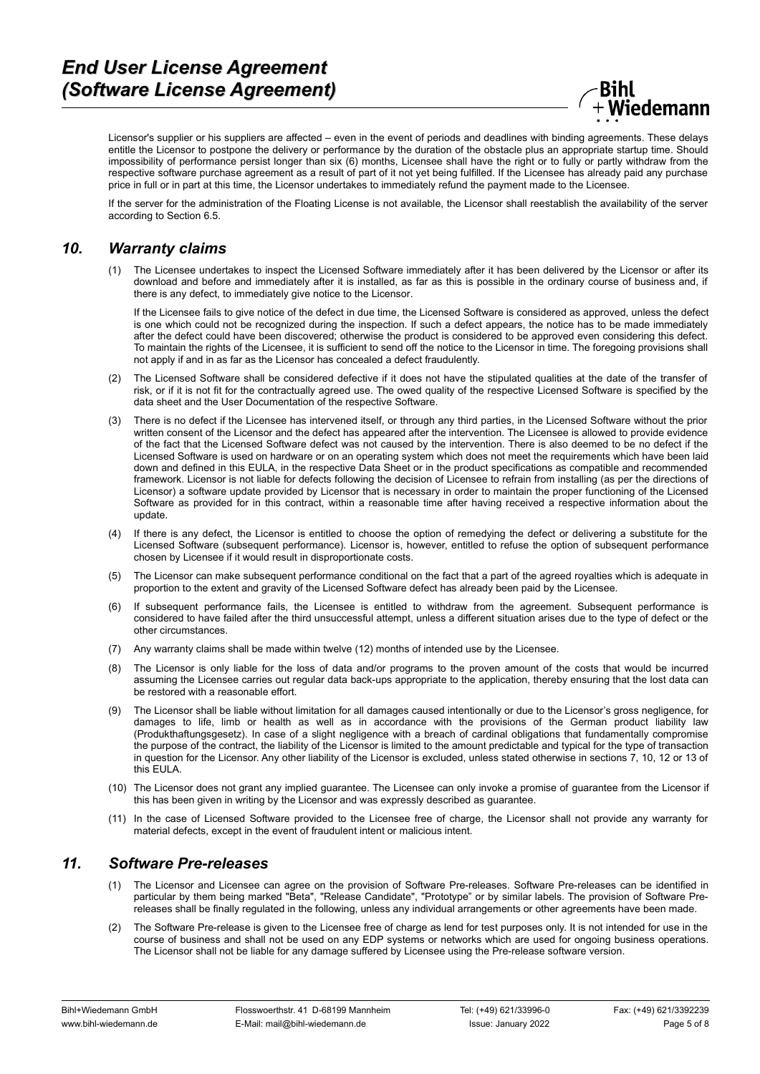....<br>Wiedemann

Licensor's supplier or his suppliers are affected – even in the event of periods and deadlines with binding agreements. These delays entitle the Licensor to postpone the delivery or performance by the duration of the obstacle plus an appropriate startup time. Should impossibility of performance persist longer than six (6) months, Licensee shall have the right or to fully or partly withdraw from the respective software purchase agreement as a result of part of it not yet being fulfilled. If the Licensee has already paid any purchase price in full or in part at this time, the Licensor undertakes to immediately refund the payment made to the Licensee.

If the server for the administration of the Floating License is not available, the Licensor shall reestablish the availability of the server according to Section 6.5.

#### *10. Warranty claims*

(1) The Licensee undertakes to inspect the Licensed Software immediately after it has been delivered by the Licensor or after its download and before and immediately after it is installed, as far as this is possible in the ordinary course of business and, if there is any defect, to immediately give notice to the Licensor.

If the Licensee fails to give notice of the defect in due time, the Licensed Software is considered as approved, unless the defect is one which could not be recognized during the inspection. If such a defect appears, the notice has to be made immediately after the defect could have been discovered; otherwise the product is considered to be approved even considering this defect. To maintain the rights of the Licensee, it is sufficient to send off the notice to the Licensor in time. The foregoing provisions shall not apply if and in as far as the Licensor has concealed a defect fraudulently.

- (2) The Licensed Software shall be considered defective if it does not have the stipulated qualities at the date of the transfer of risk, or if it is not fit for the contractually agreed use. The owed quality of the respective Licensed Software is specified by the data sheet and the User Documentation of the respective Software.
- (3) There is no defect if the Licensee has intervened itself, or through any third parties, in the Licensed Software without the prior written consent of the Licensor and the defect has appeared after the intervention. The Licensee is allowed to provide evidence of the fact that the Licensed Software defect was not caused by the intervention. There is also deemed to be no defect if the Licensed Software is used on hardware or on an operating system which does not meet the requirements which have been laid down and defined in this EULA, in the respective Data Sheet or in the product specifications as compatible and recommended framework. Licensor is not liable for defects following the decision of Licensee to refrain from installing (as per the directions of Licensor) a software update provided by Licensor that is necessary in order to maintain the proper functioning of the Licensed Software as provided for in this contract, within a reasonable time after having received a respective information about the update.
- (4) If there is any defect, the Licensor is entitled to choose the option of remedying the defect or delivering a substitute for the Licensed Software (subsequent performance). Licensor is, however, entitled to refuse the option of subsequent performance chosen by Licensee if it would result in disproportionate costs.
- (5) The Licensor can make subsequent performance conditional on the fact that a part of the agreed royalties which is adequate in proportion to the extent and gravity of the Licensed Software defect has already been paid by the Licensee.
- (6) If subsequent performance fails, the Licensee is entitled to withdraw from the agreement. Subsequent performance is considered to have failed after the third unsuccessful attempt, unless a different situation arises due to the type of defect or the other circumstances.
- (7) Any warranty claims shall be made within twelve (12) months of intended use by the Licensee.
- (8) The Licensor is only liable for the loss of data and/or programs to the proven amount of the costs that would be incurred assuming the Licensee carries out regular data back-ups appropriate to the application, thereby ensuring that the lost data can be restored with a reasonable effort.
- (9) The Licensor shall be liable without limitation for all damages caused intentionally or due to the Licensor's gross negligence, for damages to life, limb or health as well as in accordance with the provisions of the German product liability law (Produkthaftungsgesetz). In case of a slight negligence with a breach of cardinal obligations that fundamentally compromise the purpose of the contract, the liability of the Licensor is limited to the amount predictable and typical for the type of transaction in question for the Licensor. Any other liability of the Licensor is excluded, unless stated otherwise in sections 7, 10, 12 or 13 of this EULA.
- (10) The Licensor does not grant any implied guarantee. The Licensee can only invoke a promise of guarantee from the Licensor if this has been given in writing by the Licensor and was expressly described as guarantee.
- (11) In the case of Licensed Software provided to the Licensee free of charge, the Licensor shall not provide any warranty for material defects, except in the event of fraudulent intent or malicious intent.

# *11. Software Pre-releases*

- (1) The Licensor and Licensee can agree on the provision of Software Pre-releases. Software Pre-releases can be identified in particular by them being marked "Beta", "Release Candidate", "Prototype" or by similar labels. The provision of Software Prereleases shall be finally regulated in the following, unless any individual arrangements or other agreements have been made.
- (2) The Software Pre-release is given to the Licensee free of charge as lend for test purposes only. It is not intended for use in the course of business and shall not be used on any EDP systems or networks which are used for ongoing business operations. The Licensor shall not be liable for any damage suffered by Licensee using the Pre-release software version.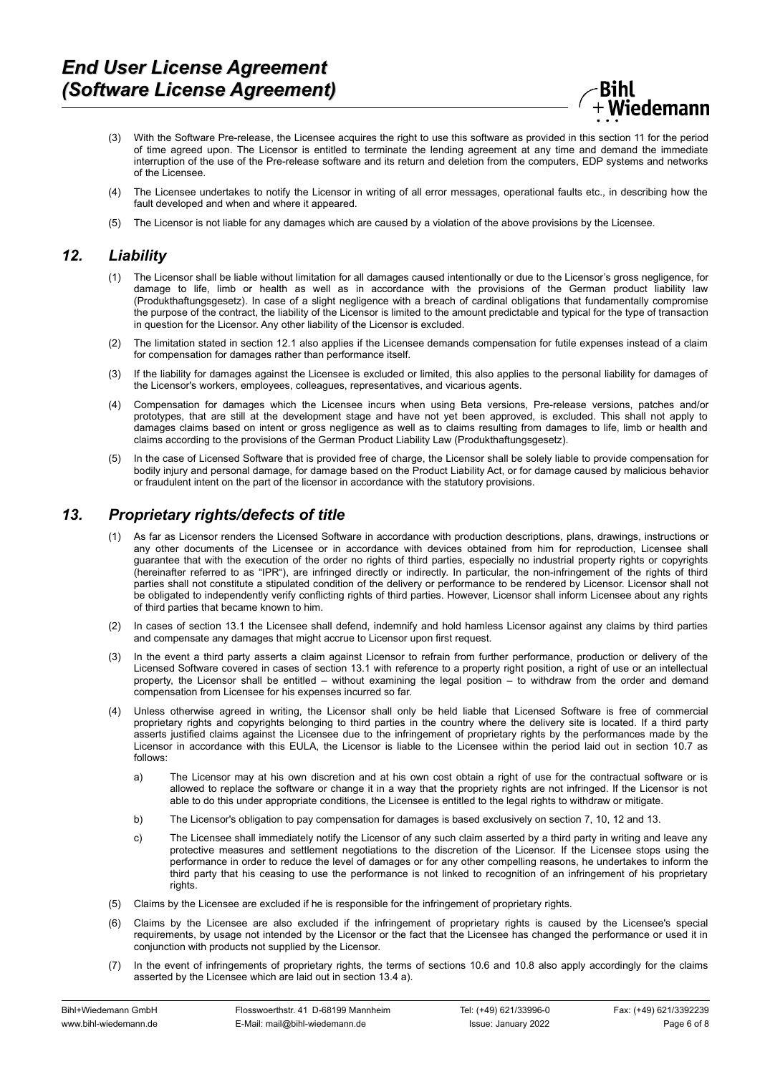

- (3) With the Software Pre-release, the Licensee acquires the right to use this software as provided in this section 11 for the period of time agreed upon. The Licensor is entitled to terminate the lending agreement at any time and demand the immediate interruption of the use of the Pre-release software and its return and deletion from the computers, EDP systems and networks of the Licensee.
- (4) The Licensee undertakes to notify the Licensor in writing of all error messages, operational faults etc., in describing how the fault developed and when and where it appeared.
- (5) The Licensor is not liable for any damages which are caused by a violation of the above provisions by the Licensee.

# *12. Liability*

- (1) The Licensor shall be liable without limitation for all damages caused intentionally or due to the Licensor's gross negligence, for damage to life, limb or health as well as in accordance with the provisions of the German product liability law (Produkthaftungsgesetz). In case of a slight negligence with a breach of cardinal obligations that fundamentally compromise the purpose of the contract, the liability of the Licensor is limited to the amount predictable and typical for the type of transaction in question for the Licensor. Any other liability of the Licensor is excluded.
- (2) The limitation stated in section 12.1 also applies if the Licensee demands compensation for futile expenses instead of a claim for compensation for damages rather than performance itself.
- (3) If the liability for damages against the Licensee is excluded or limited, this also applies to the personal liability for damages of the Licensor's workers, employees, colleagues, representatives, and vicarious agents.
- (4) Compensation for damages which the Licensee incurs when using Beta versions, Pre-release versions, patches and/or prototypes, that are still at the development stage and have not yet been approved, is excluded. This shall not apply to damages claims based on intent or gross negligence as well as to claims resulting from damages to life, limb or health and claims according to the provisions of the German Product Liability Law (Produkthaftungsgesetz).
- (5) In the case of Licensed Software that is provided free of charge, the Licensor shall be solely liable to provide compensation for bodily injury and personal damage, for damage based on the Product Liability Act, or for damage caused by malicious behavior or fraudulent intent on the part of the licensor in accordance with the statutory provisions.

# *13. Proprietary rights/defects of title*

- (1) As far as Licensor renders the Licensed Software in accordance with production descriptions, plans, drawings, instructions or any other documents of the Licensee or in accordance with devices obtained from him for reproduction, Licensee shall guarantee that with the execution of the order no rights of third parties, especially no industrial property rights or copyrights (hereinafter referred to as "IPR"), are infringed directly or indirectly. In particular, the non-infringement of the rights of third parties shall not constitute a stipulated condition of the delivery or performance to be rendered by Licensor. Licensor shall not be obligated to independently verify conflicting rights of third parties. However, Licensor shall inform Licensee about any rights of third parties that became known to him.
- (2) In cases of section 13.1 the Licensee shall defend, indemnify and hold hamless Licensor against any claims by third parties and compensate any damages that might accrue to Licensor upon first request.
- (3) In the event a third party asserts a claim against Licensor to refrain from further performance, production or delivery of the Licensed Software covered in cases of section 13.1 with reference to a property right position, a right of use or an intellectual property, the Licensor shall be entitled – without examining the legal position – to withdraw from the order and demand compensation from Licensee for his expenses incurred so far.
- (4) Unless otherwise agreed in writing, the Licensor shall only be held liable that Licensed Software is free of commercial proprietary rights and copyrights belonging to third parties in the country where the delivery site is located. If a third party asserts justified claims against the Licensee due to the infringement of proprietary rights by the performances made by the Licensor in accordance with this EULA, the Licensor is liable to the Licensee within the period laid out in section 10.7 as follows:
	- a) The Licensor may at his own discretion and at his own cost obtain a right of use for the contractual software or is allowed to replace the software or change it in a way that the propriety rights are not infringed. If the Licensor is not able to do this under appropriate conditions, the Licensee is entitled to the legal rights to withdraw or mitigate.
	- b) The Licensor's obligation to pay compensation for damages is based exclusively on section 7, 10, 12 and 13.
	- c) The Licensee shall immediately notify the Licensor of any such claim asserted by a third party in writing and leave any protective measures and settlement negotiations to the discretion of the Licensor. If the Licensee stops using the performance in order to reduce the level of damages or for any other compelling reasons, he undertakes to inform the third party that his ceasing to use the performance is not linked to recognition of an infringement of his proprietary rights
- (5) Claims by the Licensee are excluded if he is responsible for the infringement of proprietary rights.
- Claims by the Licensee are also excluded if the infringement of proprietary rights is caused by the Licensee's special requirements, by usage not intended by the Licensor or the fact that the Licensee has changed the performance or used it in conjunction with products not supplied by the Licensor.
- (7) In the event of infringements of proprietary rights, the terms of sections 10.6 and 10.8 also apply accordingly for the claims asserted by the Licensee which are laid out in section 13.4 a).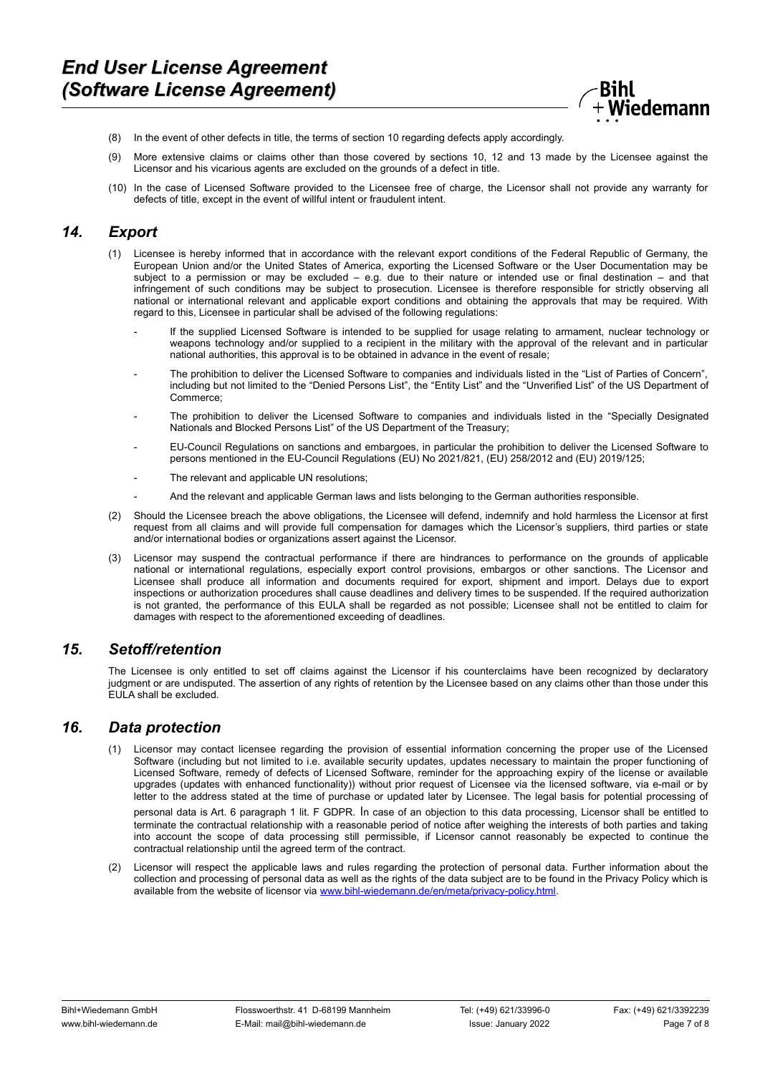

- (8) In the event of other defects in title, the terms of section 10 regarding defects apply accordingly.
- (9) More extensive claims or claims other than those covered by sections 10, 12 and 13 made by the Licensee against the Licensor and his vicarious agents are excluded on the grounds of a defect in title.
- (10) In the case of Licensed Software provided to the Licensee free of charge, the Licensor shall not provide any warranty for defects of title, except in the event of willful intent or fraudulent intent.

## *14. Export*

- (1) Licensee is hereby informed that in accordance with the relevant export conditions of the Federal Republic of Germany, the European Union and/or the United States of America, exporting the Licensed Software or the User Documentation may be subject to a permission or may be excluded – e.g. due to their nature or intended use or final destination – and that infringement of such conditions may be subject to prosecution. Licensee is therefore responsible for strictly observing all national or international relevant and applicable export conditions and obtaining the approvals that may be required. With regard to this, Licensee in particular shall be advised of the following regulations:
	- If the supplied Licensed Software is intended to be supplied for usage relating to armament, nuclear technology or weapons technology and/or supplied to a recipient in the military with the approval of the relevant and in particular national authorities, this approval is to be obtained in advance in the event of resale;
	- The prohibition to deliver the Licensed Software to companies and individuals listed in the "List of Parties of Concern", including but not limited to the "Denied Persons List", the "Entity List" and the "Unverified List" of the US Department of Commerce;
	- The prohibition to deliver the Licensed Software to companies and individuals listed in the "Specially Designated Nationals and Blocked Persons List" of the US Department of the Treasury;
	- EU-Council Regulations on sanctions and embargoes, in particular the prohibition to deliver the Licensed Software to persons mentioned in the EU-Council Regulations (EU) No 2021/821, (EU) 258/2012 and (EU) 2019/125;
	- The relevant and applicable UN resolutions;
	- And the relevant and applicable German laws and lists belonging to the German authorities responsible.
- (2) Should the Licensee breach the above obligations, the Licensee will defend, indemnify and hold harmless the Licensor at first request from all claims and will provide full compensation for damages which the Licensor's suppliers, third parties or state and/or international bodies or organizations assert against the Licensor.
- (3) Licensor may suspend the contractual performance if there are hindrances to performance on the grounds of applicable national or international regulations, especially export control provisions, embargos or other sanctions. The Licensor and Licensee shall produce all information and documents required for export, shipment and import. Delays due to export inspections or authorization procedures shall cause deadlines and delivery times to be suspended. If the required authorization is not granted, the performance of this EULA shall be regarded as not possible; Licensee shall not be entitled to claim for damages with respect to the aforementioned exceeding of deadlines.

#### *15. Setoff/retention*

The Licensee is only entitled to set off claims against the Licensor if his counterclaims have been recognized by declaratory judgment or are undisputed. The assertion of any rights of retention by the Licensee based on any claims other than those under this EULA shall be excluded.

#### *16. Data protection*

Licensor may contact licensee regarding the provision of essential information concerning the proper use of the Licensed Software (including but not limited to i.e. available security updates, updates necessary to maintain the proper functioning of Licensed Software, remedy of defects of Licensed Software, reminder for the approaching expiry of the license or available upgrades (updates with enhanced functionality)) without prior request of Licensee via the licensed software, via e-mail or by letter to the address stated at the time of purchase or updated later by Licensee. The legal basis for potential processing of

personal data is Art. 6 paragraph 1 lit. F GDPR. In case of an objection to this data processing, Licensor shall be entitled to terminate the contractual relationship with a reasonable period of notice after weighing the interests of both parties and taking into account the scope of data processing still permissible, if Licensor cannot reasonably be expected to continue the contractual relationship until the agreed term of the contract.

(2) Licensor will respect the applicable laws and rules regarding the protection of personal data. Further information about the collection and processing of personal data as well as the rights of the data subject are to be found in the Privacy Policy which is available from the website of licensor via [www.bihl-wiedemann.de/en/meta/privacy-policy.html.](https://www.bihl-wiedemann.de/en/meta/privacy-policy.html)